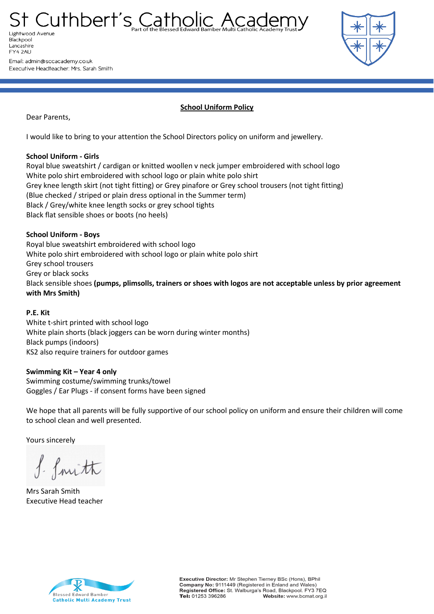St Cuthbert's Catholic Acader Lightwood Avenue Blackpool Lancashire FY4 2AU

Email: admin@sccacademy.co.uk Executive Headteacher: Mrs. Sarah Smith



**School Uniform Policy**

Dear Parents,

I would like to bring to your attention the School Directors policy on uniform and jewellery.

## **School Uniform - Girls**

Royal blue sweatshirt / cardigan or knitted woollen v neck jumper embroidered with school logo White polo shirt embroidered with school logo or plain white polo shirt Grey knee length skirt (not tight fitting) or Grey pinafore or Grey school trousers (not tight fitting) (Blue checked / striped or plain dress optional in the Summer term) Black / Grey/white knee length socks or grey school tights Black flat sensible shoes or boots (no heels)

# **School Uniform - Boys**

Royal blue sweatshirt embroidered with school logo White polo shirt embroidered with school logo or plain white polo shirt Grey school trousers Grey or black socks Black sensible shoes **(pumps, plimsolls, trainers or shoes with logos are not acceptable unless by prior agreement with Mrs Smith)**

# **P.E. Kit**

White t-shirt printed with school logo White plain shorts (black joggers can be worn during winter months) Black pumps (indoors) KS2 also require trainers for outdoor games

# **Swimming Kit – Year 4 only**

Swimming costume/swimming trunks/towel Goggles / Ear Plugs - if consent forms have been signed

We hope that all parents will be fully supportive of our school policy on uniform and ensure their children will come to school clean and well presented.

Yours sincerely

f. fmith

Mrs Sarah Smith Executive Head teacher



Executive Director: Mr Stephen Tierney BSc (Hons), BPhil Company No: 9111449 (Registered in Enland and Wales) Registered Office: St. Walburga's Road, Blackpool. FY3 7EQ Tel: 01253 396286 Website: www.bcmat.org.il